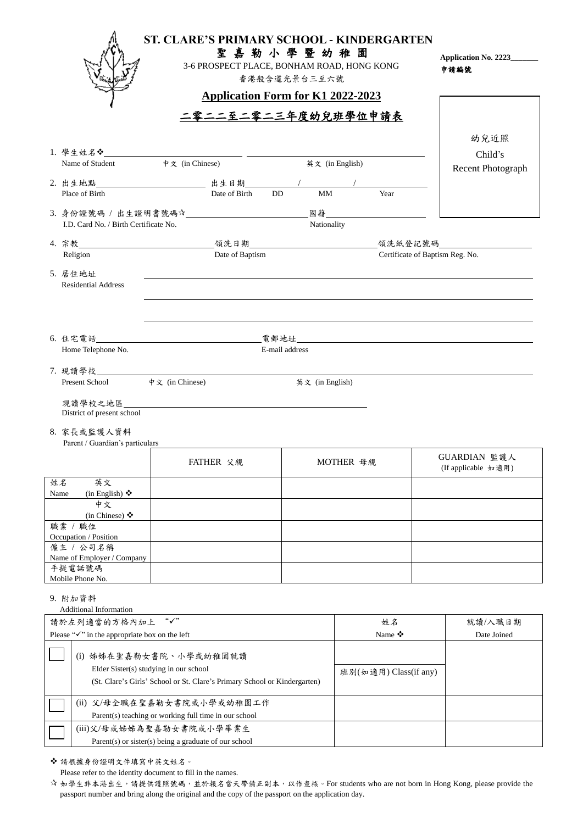| 香港般含道光景台三至六號                                                                     | ST. CLARE'S PRIMARY SCHOOL - KINDERGARTEN<br>Application No. 2223_______<br>申請編號 |  |  |  |  |
|----------------------------------------------------------------------------------|----------------------------------------------------------------------------------|--|--|--|--|
| <b>Application Form for K1 2022-2023</b>                                         |                                                                                  |  |  |  |  |
| <u>二零二二至二零二三年度幼兒班學位申請表</u>                                                       |                                                                                  |  |  |  |  |
|                                                                                  | 幼兒近照                                                                             |  |  |  |  |
| 中文 (in Chinese)<br>英文 (in English)<br>Name of Student                            | Child's                                                                          |  |  |  |  |
|                                                                                  | <b>Recent Photograph</b>                                                         |  |  |  |  |
| $\frac{1}{2}$ Year<br>MM<br>Date of Birth<br>DD.                                 |                                                                                  |  |  |  |  |
| Place of Birth                                                                   |                                                                                  |  |  |  |  |
|                                                                                  |                                                                                  |  |  |  |  |
| Nationality<br>I.D. Card No. / Birth Certificate No.                             |                                                                                  |  |  |  |  |
|                                                                                  |                                                                                  |  |  |  |  |
| Date of Baptism<br>Certificate of Baptism Reg. No.<br>Religion                   |                                                                                  |  |  |  |  |
| 5. 居住地址                                                                          |                                                                                  |  |  |  |  |
| <b>Residential Address</b>                                                       |                                                                                  |  |  |  |  |
| ,我们也不会有什么。""我们的人,我们也不会有什么?""我们的人,我们也不会有什么?""我们的人,我们也不会有什么?""我们的人,我们也不会有什么?""我们的人 |                                                                                  |  |  |  |  |
|                                                                                  |                                                                                  |  |  |  |  |
|                                                                                  |                                                                                  |  |  |  |  |
| Home Telephone No.<br>E-mail address                                             |                                                                                  |  |  |  |  |
|                                                                                  |                                                                                  |  |  |  |  |
|                                                                                  |                                                                                  |  |  |  |  |
| 英文 (in English)                                                                  |                                                                                  |  |  |  |  |
| 現讀學校之地區______________________________                                            |                                                                                  |  |  |  |  |
| District of present school                                                       |                                                                                  |  |  |  |  |
| 8. 家長或監護人資料                                                                      |                                                                                  |  |  |  |  |
| Parent / Guardian's particulars                                                  |                                                                                  |  |  |  |  |
| FATHER 父親<br>MOTHER 母親                                                           | GUARDIAN 監護人                                                                     |  |  |  |  |
|                                                                                  | (If applicable 如適用)                                                              |  |  |  |  |
| 英文<br>姓名<br>(in English) $\diamondsuit$<br>Name                                  |                                                                                  |  |  |  |  |
| 中文                                                                               |                                                                                  |  |  |  |  |
| (in Chinese) ❖                                                                   |                                                                                  |  |  |  |  |
| 職業 / 職位<br>Occupation / Position                                                 |                                                                                  |  |  |  |  |
| 僱主 / 公司名稱                                                                        |                                                                                  |  |  |  |  |
| Name of Employer / Company                                                       |                                                                                  |  |  |  |  |
| 手提電話號碼<br>Mobile Phone No.                                                       |                                                                                  |  |  |  |  |
|                                                                                  |                                                                                  |  |  |  |  |
| 9. 附加資料<br><b>Additional Information</b>                                         |                                                                                  |  |  |  |  |
| "√"<br>請於左列適當的方格內加上<br>姓名                                                        | 就讀/入職日期                                                                          |  |  |  |  |
| Please " $\checkmark$ " in the appropriate box on the left<br>Name ❖             | Date Joined                                                                      |  |  |  |  |
|                                                                                  |                                                                                  |  |  |  |  |
| (i) 姊姊在聖嘉勒女書院、小學或幼稚園就讀                                                           |                                                                                  |  |  |  |  |
| Elder Sister(s) studying in our school<br>班別(如適用) Class(if any)                  |                                                                                  |  |  |  |  |
| (St. Clare's Girls' School or St. Clare's Primary School or Kindergarten)        |                                                                                  |  |  |  |  |
| (ii) 父/母全職在聖嘉勒女書院或小學或幼稚園工作                                                       |                                                                                  |  |  |  |  |
|                                                                                  |                                                                                  |  |  |  |  |
| Parent(s) teaching or working full time in our school                            |                                                                                  |  |  |  |  |
| (iii)父/母或姊姊為聖嘉勒女書院或小學畢業生                                                         |                                                                                  |  |  |  |  |
| Parent(s) or sister(s) being a graduate of our school                            |                                                                                  |  |  |  |  |

Please refer to the identity document to fill in the names.

☆ 如學生非本港出生,請提供護照號碼,並於報名當天帶備正副本,以作查核。For students who are not born in Hong Kong, please provide the passport number and bring along the original and the copy of the passport on the application day.